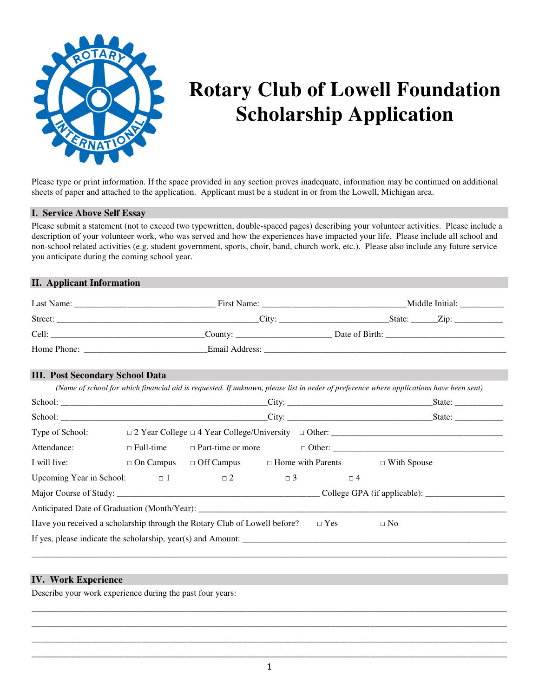

# **Rotary Club of Lowell Foundation Scholarship Application**

Please type or print information. If the space provided in any section proves inadequate, information may be continued on additional sheets of paper and attached to the application. Applicant must be a student in or from the Lowell, Michigan area.

# **I. Service Above Self Essay**

Please submit a statement (not to exceed two typewritten, double-spaced pages) describing your volunteer activities. Please include a description of your volunteer work, who was served and how the experiences have impacted your life. Please include all school and non-school related activities (e.g. student government, sports, choir, band, church work, etc.). Please also include any future service you anticipate during the coming school year.

# **II. Applicant Information**

| Last Name:  | First Name:    | Middle Initial:               |
|-------------|----------------|-------------------------------|
| Street:     | City:          | State:<br>$Z$ <sub>ip</sub> : |
| Cell:       | County:        | Date of Birth:                |
| Home Phone: | Email Address: |                               |

## **III. Post Secondary School Data**

|                                                                           |                                                                                |            |          | State: $\frac{2}{\sqrt{2}}$ |
|---------------------------------------------------------------------------|--------------------------------------------------------------------------------|------------|----------|-----------------------------|
|                                                                           |                                                                                |            |          |                             |
| Type of School:                                                           |                                                                                |            |          |                             |
| Attendance:                                                               |                                                                                |            |          |                             |
| I will live:                                                              | $\Box$ On Campus $\Box$ Off Campus $\Box$ Home with Parents $\Box$ With Spouse |            |          |                             |
| Upcoming Year in School: $\Box$ 1 $\Box$ 2 $\Box$ 3                       |                                                                                |            | $\Box$ 4 |                             |
|                                                                           |                                                                                |            |          |                             |
|                                                                           |                                                                                |            |          |                             |
| Have you received a scholarship through the Rotary Club of Lowell before? |                                                                                | $\Box$ Yes |          | $\Box$ No                   |
|                                                                           |                                                                                |            |          |                             |

# **IV. Work Experience**

Describe your work experience during the past four years:

\_\_\_\_\_\_\_\_\_\_\_\_\_\_\_\_\_\_\_\_\_\_\_\_\_\_\_\_\_\_\_\_\_\_\_\_\_\_\_\_\_\_\_\_\_\_\_\_\_\_\_\_\_\_\_\_\_\_\_\_\_\_\_\_\_\_\_\_\_\_\_\_\_\_\_\_\_\_\_\_\_\_\_\_\_\_\_\_\_\_\_\_\_\_\_\_\_\_\_\_\_\_\_\_\_\_\_\_ \_\_\_\_\_\_\_\_\_\_\_\_\_\_\_\_\_\_\_\_\_\_\_\_\_\_\_\_\_\_\_\_\_\_\_\_\_\_\_\_\_\_\_\_\_\_\_\_\_\_\_\_\_\_\_\_\_\_\_\_\_\_\_\_\_\_\_\_\_\_\_\_\_\_\_\_\_\_\_\_\_\_\_\_\_\_\_\_\_\_\_\_\_\_\_\_\_\_\_\_\_\_\_\_\_\_\_\_ \_\_\_\_\_\_\_\_\_\_\_\_\_\_\_\_\_\_\_\_\_\_\_\_\_\_\_\_\_\_\_\_\_\_\_\_\_\_\_\_\_\_\_\_\_\_\_\_\_\_\_\_\_\_\_\_\_\_\_\_\_\_\_\_\_\_\_\_\_\_\_\_\_\_\_\_\_\_\_\_\_\_\_\_\_\_\_\_\_\_\_\_\_\_\_\_\_\_\_\_\_\_\_\_\_\_\_\_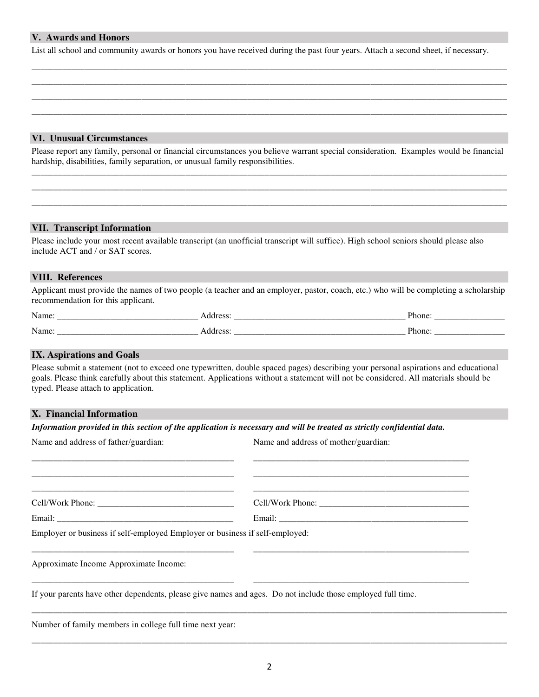## **V. Awards and Honors**

List all school and community awards or honors you have received during the past four years. Attach a second sheet, if necessary.

\_\_\_\_\_\_\_\_\_\_\_\_\_\_\_\_\_\_\_\_\_\_\_\_\_\_\_\_\_\_\_\_\_\_\_\_\_\_\_\_\_\_\_\_\_\_\_\_\_\_\_\_\_\_\_\_\_\_\_\_\_\_\_\_\_\_\_\_\_\_\_\_\_\_\_\_\_\_\_\_\_\_\_\_\_\_\_\_\_\_\_\_\_\_\_\_\_\_\_\_\_\_\_\_\_\_\_\_ \_\_\_\_\_\_\_\_\_\_\_\_\_\_\_\_\_\_\_\_\_\_\_\_\_\_\_\_\_\_\_\_\_\_\_\_\_\_\_\_\_\_\_\_\_\_\_\_\_\_\_\_\_\_\_\_\_\_\_\_\_\_\_\_\_\_\_\_\_\_\_\_\_\_\_\_\_\_\_\_\_\_\_\_\_\_\_\_\_\_\_\_\_\_\_\_\_\_\_\_\_\_\_\_\_\_\_\_ \_\_\_\_\_\_\_\_\_\_\_\_\_\_\_\_\_\_\_\_\_\_\_\_\_\_\_\_\_\_\_\_\_\_\_\_\_\_\_\_\_\_\_\_\_\_\_\_\_\_\_\_\_\_\_\_\_\_\_\_\_\_\_\_\_\_\_\_\_\_\_\_\_\_\_\_\_\_\_\_\_\_\_\_\_\_\_\_\_\_\_\_\_\_\_\_\_\_\_\_\_\_\_\_\_\_\_\_ \_\_\_\_\_\_\_\_\_\_\_\_\_\_\_\_\_\_\_\_\_\_\_\_\_\_\_\_\_\_\_\_\_\_\_\_\_\_\_\_\_\_\_\_\_\_\_\_\_\_\_\_\_\_\_\_\_\_\_\_\_\_\_\_\_\_\_\_\_\_\_\_\_\_\_\_\_\_\_\_\_\_\_\_\_\_\_\_\_\_\_\_\_\_\_\_\_\_\_\_\_\_\_\_\_\_\_\_

## **VI. Unusual Circumstances**

Please report any family, personal or financial circumstances you believe warrant special consideration. Examples would be financial hardship, disabilities, family separation, or unusual family responsibilities. \_\_\_\_\_\_\_\_\_\_\_\_\_\_\_\_\_\_\_\_\_\_\_\_\_\_\_\_\_\_\_\_\_\_\_\_\_\_\_\_\_\_\_\_\_\_\_\_\_\_\_\_\_\_\_\_\_\_\_\_\_\_\_\_\_\_\_\_\_\_\_\_\_\_\_\_\_\_\_\_\_\_\_\_\_\_\_\_\_\_\_\_\_\_\_\_\_\_\_\_\_\_\_\_\_\_\_\_

\_\_\_\_\_\_\_\_\_\_\_\_\_\_\_\_\_\_\_\_\_\_\_\_\_\_\_\_\_\_\_\_\_\_\_\_\_\_\_\_\_\_\_\_\_\_\_\_\_\_\_\_\_\_\_\_\_\_\_\_\_\_\_\_\_\_\_\_\_\_\_\_\_\_\_\_\_\_\_\_\_\_\_\_\_\_\_\_\_\_\_\_\_\_\_\_\_\_\_\_\_\_\_\_\_\_\_\_ \_\_\_\_\_\_\_\_\_\_\_\_\_\_\_\_\_\_\_\_\_\_\_\_\_\_\_\_\_\_\_\_\_\_\_\_\_\_\_\_\_\_\_\_\_\_\_\_\_\_\_\_\_\_\_\_\_\_\_\_\_\_\_\_\_\_\_\_\_\_\_\_\_\_\_\_\_\_\_\_\_\_\_\_\_\_\_\_\_\_\_\_\_\_\_\_\_\_\_\_\_\_\_\_\_\_\_\_

## **VII. Transcript Information**

Please include your most recent available transcript (an unofficial transcript will suffice). High school seniors should please also include ACT and / or SAT scores.

#### **VIII. References**

Applicant must provide the names of two people (a teacher and an employer, pastor, coach, etc.) who will be completing a scholarship recommendation for this applicant.

| `   |        |
|-----|--------|
| . . | $\sim$ |

#### **IX. Aspirations and Goals**

Please submit a statement (not to exceed one typewritten, double spaced pages) describing your personal aspirations and educational goals. Please think carefully about this statement. Applications without a statement will not be considered. All materials should be typed. Please attach to application.

#### **X. Financial Information**

*Information provided in this section of the application is necessary and will be treated as strictly confidential data.* 

| Name and address of father/guardian: | Name and address of mother/guardian: |
|--------------------------------------|--------------------------------------|
|                                      |                                      |
|                                      |                                      |
| Cell/Work Phone:                     |                                      |
|                                      |                                      |

Employer or business if self-employed Employer or business if self-employed:

Approximate Income Approximate Income:

If your parents have other dependents, please give names and ages. Do not include those employed full time.

\_\_\_\_\_\_\_\_\_\_\_\_\_\_\_\_\_\_\_\_\_\_\_\_\_\_\_\_\_\_\_\_\_\_\_\_\_\_\_\_\_\_\_\_\_\_ \_\_\_\_\_\_\_\_\_\_\_\_\_\_\_\_\_\_\_\_\_\_\_\_\_\_\_\_\_\_\_\_\_\_\_\_\_\_\_\_\_\_\_\_\_\_\_\_\_

\_\_\_\_\_\_\_\_\_\_\_\_\_\_\_\_\_\_\_\_\_\_\_\_\_\_\_\_\_\_\_\_\_\_\_\_\_\_\_\_\_\_\_\_\_\_ \_\_\_\_\_\_\_\_\_\_\_\_\_\_\_\_\_\_\_\_\_\_\_\_\_\_\_\_\_\_\_\_\_\_\_\_\_\_\_\_\_\_\_\_\_\_\_\_\_

Number of family members in college full time next year:

\_\_\_\_\_\_\_\_\_\_\_\_\_\_\_\_\_\_\_\_\_\_\_\_\_\_\_\_\_\_\_\_\_\_\_\_\_\_\_\_\_\_\_\_\_\_\_\_\_\_\_\_\_\_\_\_\_\_\_\_\_\_\_\_\_\_\_\_\_\_\_\_\_\_\_\_\_\_\_\_\_\_\_\_\_\_\_\_\_\_\_\_\_\_\_\_\_\_\_\_\_\_\_\_\_\_\_\_

\_\_\_\_\_\_\_\_\_\_\_\_\_\_\_\_\_\_\_\_\_\_\_\_\_\_\_\_\_\_\_\_\_\_\_\_\_\_\_\_\_\_\_\_\_\_\_\_\_\_\_\_\_\_\_\_\_\_\_\_\_\_\_\_\_\_\_\_\_\_\_\_\_\_\_\_\_\_\_\_\_\_\_\_\_\_\_\_\_\_\_\_\_\_\_\_\_\_\_\_\_\_\_\_\_\_\_\_